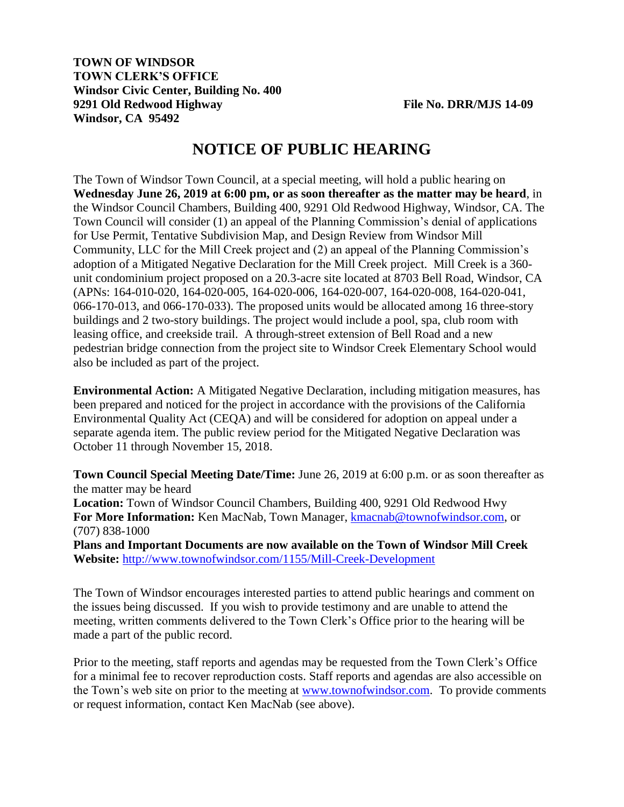## **TOWN OF WINDSOR TOWN CLERK'S OFFICE Windsor Civic Center, Building No. 400 9291 Old Redwood Highway File No. DRR/MJS 14-09 Windsor, CA 95492**

## **NOTICE OF PUBLIC HEARING**

The Town of Windsor Town Council, at a special meeting, will hold a public hearing on **Wednesday June 26, 2019 at 6:00 pm, or as soon thereafter as the matter may be heard**, in the Windsor Council Chambers, Building 400, 9291 Old Redwood Highway, Windsor, CA. The Town Council will consider (1) an appeal of the Planning Commission's denial of applications for Use Permit, Tentative Subdivision Map, and Design Review from Windsor Mill Community, LLC for the Mill Creek project and (2) an appeal of the Planning Commission's adoption of a Mitigated Negative Declaration for the Mill Creek project. Mill Creek is a 360 unit condominium project proposed on a 20.3-acre site located at 8703 Bell Road, Windsor, CA (APNs: 164-010-020, 164-020-005, 164-020-006, 164-020-007, 164-020-008, 164-020-041, 066-170-013, and 066-170-033). The proposed units would be allocated among 16 three-story buildings and 2 two-story buildings. The project would include a pool, spa, club room with leasing office, and creekside trail. A through-street extension of Bell Road and a new pedestrian bridge connection from the project site to Windsor Creek Elementary School would also be included as part of the project.

**Environmental Action:** A Mitigated Negative Declaration, including mitigation measures, has been prepared and noticed for the project in accordance with the provisions of the California Environmental Quality Act (CEQA) and will be considered for adoption on appeal under a separate agenda item. The public review period for the Mitigated Negative Declaration was October 11 through November 15, 2018.

**Town Council Special Meeting Date/Time:** June 26, 2019 at 6:00 p.m. or as soon thereafter as the matter may be heard **Location:** Town of Windsor Council Chambers, Building 400, 9291 Old Redwood Hwy **For More Information:** Ken MacNab, Town Manager, [kmacnab@townofwindsor.com,](mailto:kmacnab@townofwindsor.com) or (707) 838-1000 **Plans and Important Documents are now available on the Town of Windsor Mill Creek Website:** <http://www.townofwindsor.com/1155/Mill-Creek-Development>

The Town of Windsor encourages interested parties to attend public hearings and comment on the issues being discussed. If you wish to provide testimony and are unable to attend the meeting, written comments delivered to the Town Clerk's Office prior to the hearing will be made a part of the public record.

Prior to the meeting, staff reports and agendas may be requested from the Town Clerk's Office for a minimal fee to recover reproduction costs. Staff reports and agendas are also accessible on the Town's web site on prior to the meeting at [www.townofwindsor.com.](http://www.townofwindsor.com/) To provide comments or request information, contact Ken MacNab (see above).